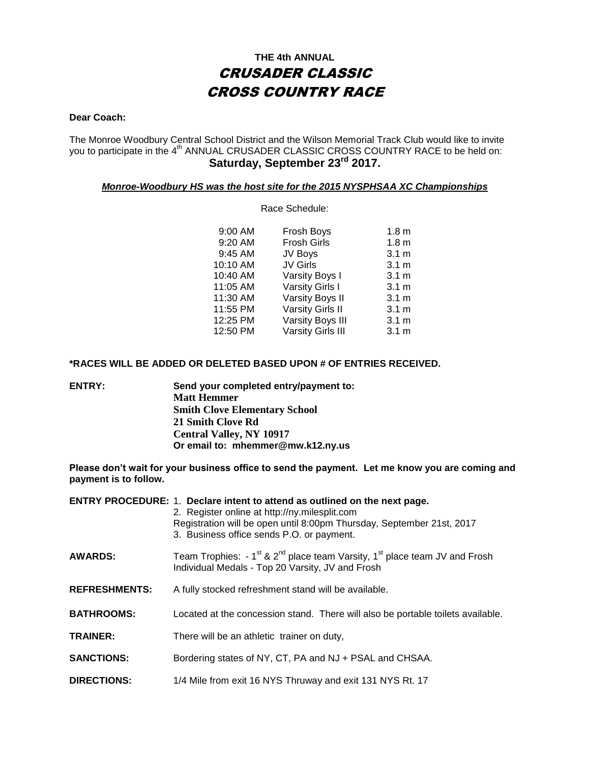### **THE 4th ANNUAL** CRUSADER CLASSIC CROSS COUNTRY RACE

#### **Dear Coach:**

The Monroe Woodbury Central School District and the Wilson Memorial Track Club would like to invite you to participate in the 4<sup>th</sup> ANNUAL CRUSADER CLASSIC CROSS COUNTRY RACE to be held on: **Saturday, September 23rd 2017.**

### *Monroe-Woodbury HS was the host site for the 2015 NYSPHSAA XC Championships*

Race Schedule:

| 9:00 AM  | Frosh Boys               | 1.8 <sub>m</sub> |
|----------|--------------------------|------------------|
| 9:20 AM  | <b>Frosh Girls</b>       | 1.8 <sub>m</sub> |
| 9:45 AM  | JV Boys                  | 3.1 <sub>m</sub> |
| 10:10 AM | <b>JV Girls</b>          | 3.1 <sub>m</sub> |
| 10:40 AM | Varsity Boys I           | 3.1 <sub>m</sub> |
| 11:05 AM | Varsity Girls I          | 3.1 <sub>m</sub> |
| 11:30 AM | Varsity Boys II          | 3.1 <sub>m</sub> |
| 11:55 PM | <b>Varsity Girls II</b>  | 3.1 <sub>m</sub> |
| 12:25 PM | Varsity Boys III         | 3.1 <sub>m</sub> |
| 12:50 PM | <b>Varsity Girls III</b> | $3.1 \text{ m}$  |

#### **\*RACES WILL BE ADDED OR DELETED BASED UPON # OF ENTRIES RECEIVED.**

**ENTRY: Send your completed entry/payment to: Matt Hemmer Smith Clove Elementary School 21 Smith Clove Rd Central Valley, NY 10917 Or email to: mhemmer@mw.k12.ny.us**

**Please don't wait for your business office to send the payment. Let me know you are coming and payment is to follow.**

|                      | ENTRY PROCEDURE: 1. Declare intent to attend as outlined on the next page.<br>2. Register online at http://ny.milesplit.com<br>Registration will be open until 8:00pm Thursday, September 21st, 2017<br>3. Business office sends P.O. or payment. |
|----------------------|---------------------------------------------------------------------------------------------------------------------------------------------------------------------------------------------------------------------------------------------------|
| <b>AWARDS:</b>       | Team Trophies: $-1^{st}$ & 2 <sup>nd</sup> place team Varsity, 1 <sup>st</sup> place team JV and Frosh<br>Individual Medals - Top 20 Varsity, JV and Frosh                                                                                        |
| <b>REFRESHMENTS:</b> | A fully stocked refreshment stand will be available.                                                                                                                                                                                              |
| <b>BATHROOMS:</b>    | Located at the concession stand. There will also be portable toilets available.                                                                                                                                                                   |
| <b>TRAINER:</b>      | There will be an athletic trainer on duty,                                                                                                                                                                                                        |
| <b>SANCTIONS:</b>    | Bordering states of NY, CT, PA and NJ + PSAL and CHSAA.                                                                                                                                                                                           |
| <b>DIRECTIONS:</b>   | 1/4 Mile from exit 16 NYS Thruway and exit 131 NYS Rt. 17                                                                                                                                                                                         |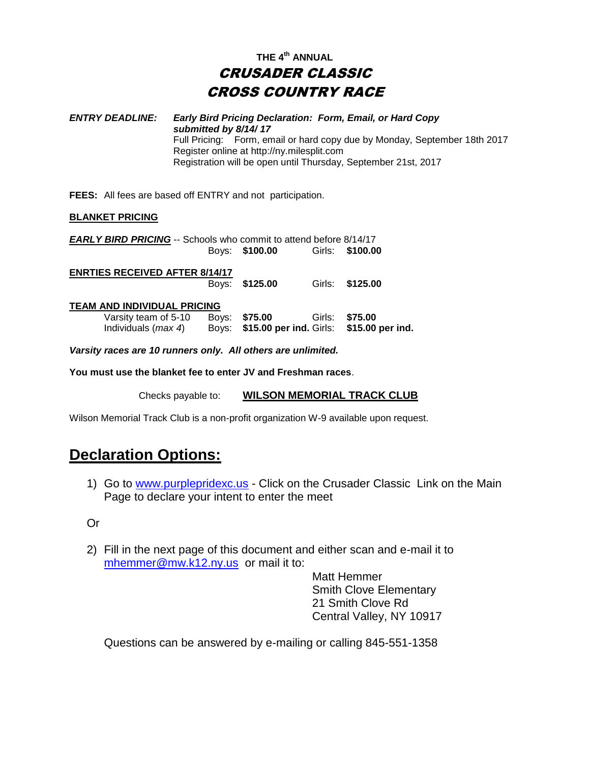## **THE 4th ANNUAL** CRUSADER CLASSIC CROSS COUNTRY RACE

*ENTRY DEADLINE: Early Bird Pricing Declaration: Form, Email, or Hard Copy submitted by 8/14/ 17* Full Pricing: Form, email or hard copy due by Monday, September 18th 2017 Register online at http://ny.milesplit.com Registration will be open until Thursday, September 21st, 2017

**FEES:** All fees are based off ENTRY and not participation.

#### **BLANKET PRICING**

| <b>EARLY BIRD PRICING</b> -- Schools who commit to attend before 8/14/17 |       |                |        |                                          |
|--------------------------------------------------------------------------|-------|----------------|--------|------------------------------------------|
|                                                                          |       | Boys: \$100.00 | Girls: | \$100.00                                 |
| <b>ENRTIES RECEIVED AFTER 8/14/17</b>                                    |       |                |        |                                          |
|                                                                          | Bovs: | \$125.00       | Girls: | \$125,00                                 |
| TEAM AND INDIVIDUAL PRICING                                              |       |                |        |                                          |
| Varsity team of 5-10                                                     | Boys: | \$75.00        | Girls: | \$75.00                                  |
| Individuals ( <i>max 4</i> )                                             | Boys: |                |        | \$15.00 per ind. Girls: \$15.00 per ind. |
| Varsity races are 10 runners only. All others are unlimited.             |       |                |        |                                          |

**You must use the blanket fee to enter JV and Freshman races**.

Checks payable to: **WILSON MEMORIAL TRACK CLUB**

Wilson Memorial Track Club is a non-profit organization W-9 available upon request.

## **Declaration Options:**

1) Go to [www.purplepridexc.us](http://www.purplepridexc.us/) - Click on the Crusader Classic Link on the Main Page to declare your intent to enter the meet

Or

2) Fill in the next page of this document and either scan and e-mail it to [mhemmer@mw.k12.ny.us](mailto:mhemmer@mw.k12.ny.us) or mail it to:

Matt Hemmer Smith Clove Elementary 21 Smith Clove Rd Central Valley, NY 10917

Questions can be answered by e-mailing or calling 845-551-1358